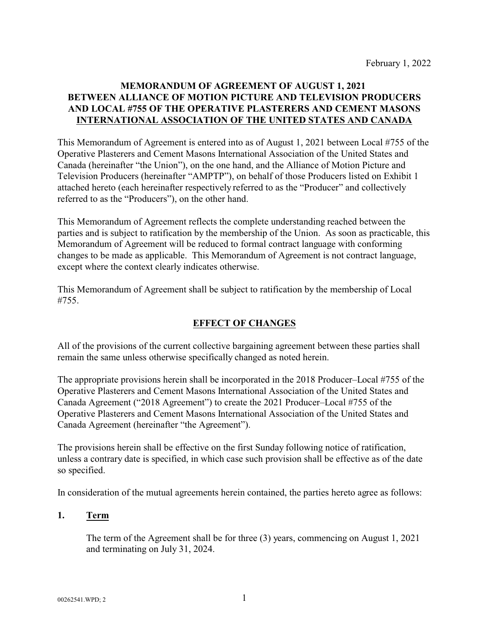# **MEMORANDUM OF AGREEMENT OF AUGUST 1, 2021 BETWEEN ALLIANCE OF MOTION PICTURE AND TELEVISION PRODUCERS AND LOCAL #755 OF THE OPERATIVE PLASTERERS AND CEMENT MASONS INTERNATIONAL ASSOCIATION OF THE UNITED STATES AND CANADA**

This Memorandum of Agreement is entered into as of August 1, 2021 between Local #755 of the Operative Plasterers and Cement Masons International Association of the United States and Canada (hereinafter "the Union"), on the one hand, and the Alliance of Motion Picture and Television Producers (hereinafter "AMPTP"), on behalf of those Producers listed on Exhibit 1 attached hereto (each hereinafter respectively referred to as the "Producer" and collectively referred to as the "Producers"), on the other hand.

This Memorandum of Agreement reflects the complete understanding reached between the parties and is subject to ratification by the membership of the Union. As soon as practicable, this Memorandum of Agreement will be reduced to formal contract language with conforming changes to be made as applicable. This Memorandum of Agreement is not contract language, except where the context clearly indicates otherwise.

This Memorandum of Agreement shall be subject to ratification by the membership of Local #755.

# **EFFECT OF CHANGES**

All of the provisions of the current collective bargaining agreement between these parties shall remain the same unless otherwise specifically changed as noted herein.

The appropriate provisions herein shall be incorporated in the 2018 Producer–Local #755 of the Operative Plasterers and Cement Masons International Association of the United States and Canada Agreement ("2018 Agreement") to create the 2021 Producer–Local #755 of the Operative Plasterers and Cement Masons International Association of the United States and Canada Agreement (hereinafter "the Agreement").

The provisions herein shall be effective on the first Sunday following notice of ratification, unless a contrary date is specified, in which case such provision shall be effective as of the date so specified.

In consideration of the mutual agreements herein contained, the parties hereto agree as follows:

# **1. Term**

The term of the Agreement shall be for three (3) years, commencing on August 1, 2021 and terminating on July 31, 2024.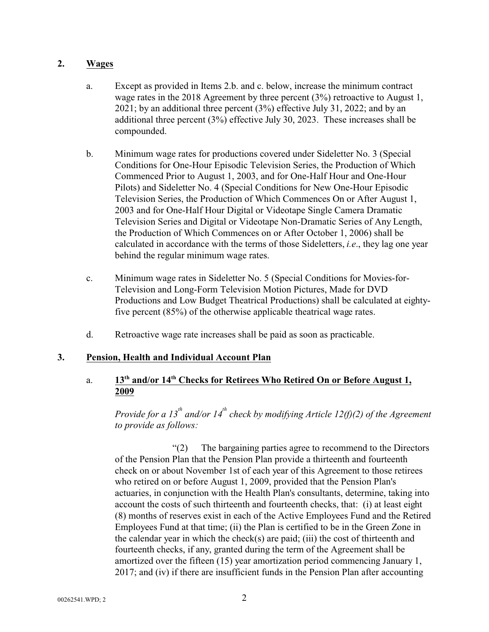# **2. Wages**

- a. Except as provided in Items 2.b. and c. below, increase the minimum contract wage rates in the 2018 Agreement by three percent (3%) retroactive to August 1, 2021; by an additional three percent (3%) effective July 31, 2022; and by an additional three percent (3%) effective July 30, 2023. These increases shall be compounded.
- b. Minimum wage rates for productions covered under Sideletter No. 3 (Special Conditions for One-Hour Episodic Television Series, the Production of Which Commenced Prior to August 1, 2003, and for One-Half Hour and One-Hour Pilots) and Sideletter No. 4 (Special Conditions for New One-Hour Episodic Television Series, the Production of Which Commences On or After August 1, 2003 and for One-Half Hour Digital or Videotape Single Camera Dramatic Television Series and Digital or Videotape Non-Dramatic Series of Any Length, the Production of Which Commences on or After October 1, 2006) shall be calculated in accordance with the terms of those Sideletters, *i.e*., they lag one year behind the regular minimum wage rates.
- c. Minimum wage rates in Sideletter No. 5 (Special Conditions for Movies-for-Television and Long-Form Television Motion Pictures, Made for DVD Productions and Low Budget Theatrical Productions) shall be calculated at eightyfive percent (85%) of the otherwise applicable theatrical wage rates.
- d. Retroactive wage rate increases shall be paid as soon as practicable.

# **3. Pension, Health and Individual Account Plan**

# a. **13th and/or 14th Checks for Retirees Who Retired On or Before August 1, 2009**

*Provide for a 13<sup>th</sup> and/or 14<sup>th</sup> check by modifying Article 12(f)(2) of the Agreement to provide as follows:*

"(2) The bargaining parties agree to recommend to the Directors of the Pension Plan that the Pension Plan provide a thirteenth and fourteenth check on or about November 1st of each year of this Agreement to those retirees who retired on or before August 1, 2009, provided that the Pension Plan's actuaries, in conjunction with the Health Plan's consultants, determine, taking into account the costs of such thirteenth and fourteenth checks, that: (i) at least eight (8) months of reserves exist in each of the Active Employees Fund and the Retired Employees Fund at that time; (ii) the Plan is certified to be in the Green Zone in the calendar year in which the check(s) are paid; (iii) the cost of thirteenth and fourteenth checks, if any, granted during the term of the Agreement shall be amortized over the fifteen (15) year amortization period commencing January 1, 2017; and (iv) if there are insufficient funds in the Pension Plan after accounting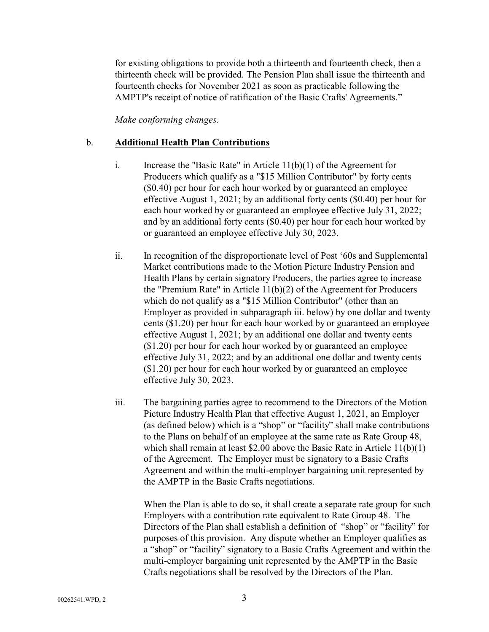for existing obligations to provide both a thirteenth and fourteenth check, then a thirteenth check will be provided. The Pension Plan shall issue the thirteenth and fourteenth checks for November 2021 as soon as practicable following the AMPTP's receipt of notice of ratification of the Basic Crafts' Agreements."

*Make conforming changes.*

# b. **Additional Health Plan Contributions**

- i. Increase the "Basic Rate" in Article 11(b)(1) of the Agreement for Producers which qualify as a "\$15 Million Contributor" by forty cents (\$0.40) per hour for each hour worked by or guaranteed an employee effective August 1, 2021; by an additional forty cents (\$0.40) per hour for each hour worked by or guaranteed an employee effective July 31, 2022; and by an additional forty cents (\$0.40) per hour for each hour worked by or guaranteed an employee effective July 30, 2023.
- ii. In recognition of the disproportionate level of Post '60s and Supplemental Market contributions made to the Motion Picture Industry Pension and Health Plans by certain signatory Producers, the parties agree to increase the "Premium Rate" in Article 11(b)(2) of the Agreement for Producers which do not qualify as a "\$15 Million Contributor" (other than an Employer as provided in subparagraph iii. below) by one dollar and twenty cents (\$1.20) per hour for each hour worked by or guaranteed an employee effective August 1, 2021; by an additional one dollar and twenty cents (\$1.20) per hour for each hour worked by or guaranteed an employee effective July 31, 2022; and by an additional one dollar and twenty cents (\$1.20) per hour for each hour worked by or guaranteed an employee effective July 30, 2023.
- iii. The bargaining parties agree to recommend to the Directors of the Motion Picture Industry Health Plan that effective August 1, 2021, an Employer (as defined below) which is a "shop" or "facility" shall make contributions to the Plans on behalf of an employee at the same rate as Rate Group 48, which shall remain at least \$2.00 above the Basic Rate in Article 11(b)(1) of the Agreement. The Employer must be signatory to a Basic Crafts Agreement and within the multi-employer bargaining unit represented by the AMPTP in the Basic Crafts negotiations.

When the Plan is able to do so, it shall create a separate rate group for such Employers with a contribution rate equivalent to Rate Group 48. The Directors of the Plan shall establish a definition of "shop" or "facility" for purposes of this provision. Any dispute whether an Employer qualifies as a "shop" or "facility" signatory to a Basic Crafts Agreement and within the multi-employer bargaining unit represented by the AMPTP in the Basic Crafts negotiations shall be resolved by the Directors of the Plan.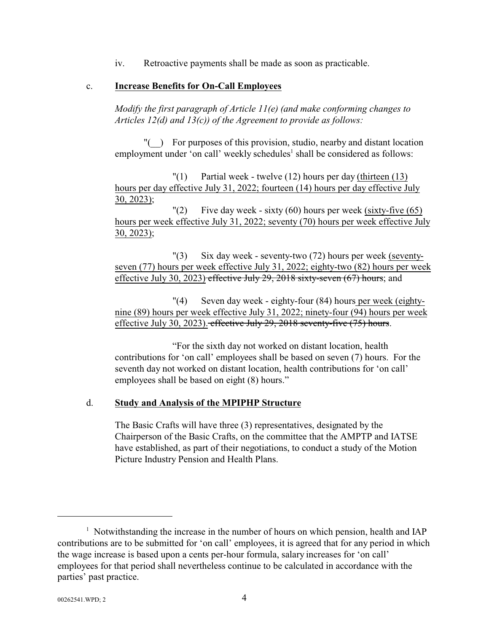iv. Retroactive payments shall be made as soon as practicable.

## c. **Increase Benefits for On-Call Employees**

*Modify the first paragraph of Article 11(e) (and make conforming changes to Articles 12(d) and 13(c)) of the Agreement to provide as follows:*

"(\_\_) For purposes of this provision, studio, nearby and distant location employment under 'on call' weekly schedules<sup>1</sup> shall be considered as follows:

 $\binom{1}{1}$  Partial week - twelve (12) hours per day (thirteen (13) hours per day effective July 31, 2022; fourteen (14) hours per day effective July 30, 2023);

 $\lvert$  (2) Five day week - sixty (60) hours per week (sixty-five (65) hours per week effective July 31, 2022; seventy (70) hours per week effective July 30, 2023);

"(3) Six day week - seventy-two (72) hours per week (seventyseven (77) hours per week effective July 31, 2022; eighty-two (82) hours per week effective July 30, 2023) effective July 29, 2018 sixty-seven (67) hours; and

"(4) Seven day week - eighty-four (84) hours per week (eightynine (89) hours per week effective July 31, 2022; ninety-four (94) hours per week effective July 30, 2023). effective July 29, 2018 seventy-five (75) hours.

"For the sixth day not worked on distant location, health contributions for 'on call' employees shall be based on seven (7) hours. For the seventh day not worked on distant location, health contributions for 'on call' employees shall be based on eight (8) hours."

# d. **Study and Analysis of the MPIPHP Structure**

The Basic Crafts will have three (3) representatives, designated by the Chairperson of the Basic Crafts, on the committee that the AMPTP and IATSE have established, as part of their negotiations, to conduct a study of the Motion Picture Industry Pension and Health Plans.

<sup>&</sup>lt;sup>1</sup> Notwithstanding the increase in the number of hours on which pension, health and IAP contributions are to be submitted for 'on call' employees, it is agreed that for any period in which the wage increase is based upon a cents per-hour formula, salary increases for 'on call' employees for that period shall nevertheless continue to be calculated in accordance with the parties' past practice.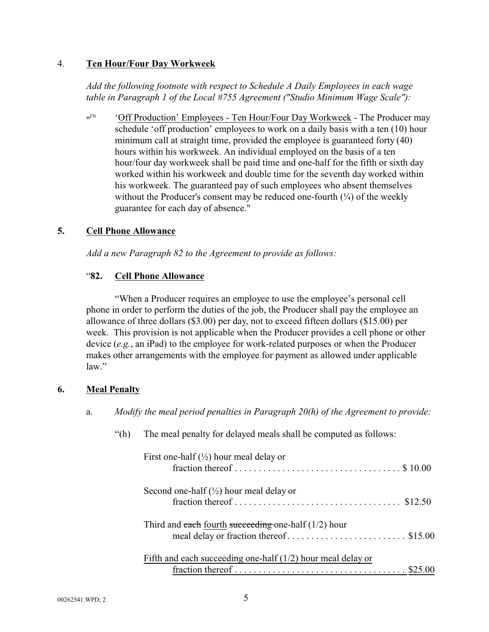# 4. **Ten Hour/Four Day Workweek**

*Add the following footnote with respect to Schedule A Daily Employees in each wage table in Paragraph 1 of the Local #755 Agreement ("Studio Minimum Wage Scale"):*

" FN 'Off Production' Employees - Ten Hour/Four Day Workweek - The Producer may schedule 'off production' employees to work on a daily basis with a ten (10) hour minimum call at straight time, provided the employee is guaranteed forty (40) hours within his workweek. An individual employed on the basis of a ten hour/four day workweek shall be paid time and one-half for the fifth or sixth day worked within his workweek and double time for the seventh day worked within his workweek. The guaranteed pay of such employees who absent themselves without the Producer's consent may be reduced one-fourth  $(\frac{1}{4})$  of the weekly guarantee for each day of absence."

# **5. Cell Phone Allowance**

*Add a new Paragraph 82 to the Agreement to provide as follows:*

# "**82. Cell Phone Allowance**

"When a Producer requires an employee to use the employee's personal cell phone in order to perform the duties of the job, the Producer shall pay the employee an allowance of three dollars (\$3.00) per day, not to exceed fifteen dollars (\$15.00) per week. This provision is not applicable when the Producer provides a cell phone or other device (*e.g.*, an iPad) to the employee for work-related purposes or when the Producer makes other arrangements with the employee for payment as allowed under applicable  $law$ "

# **6. Meal Penalty**

- a. *Modify the meal period penalties in Paragraph 20(h) of the Agreement to provide:*
	- "(h) The meal penalty for delayed meals shall be computed as follows:

| First one-half $\binom{1}{2}$ hour meal delay or              |
|---------------------------------------------------------------|
| Second one-half $\left(\frac{1}{2}\right)$ hour meal delay or |
|                                                               |
| Third and each fourth succeeding one-half $(1/2)$ hour        |
| Fifth and each succeeding one-half $(1/2)$ hour meal delay or |
|                                                               |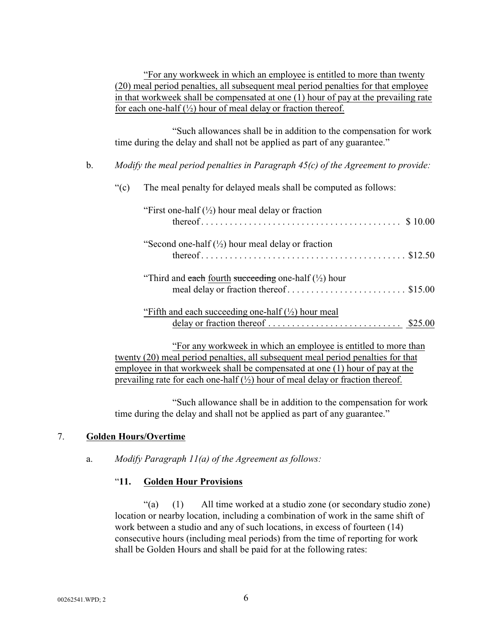"For any workweek in which an employee is entitled to more than twenty (20) meal period penalties, all subsequent meal period penalties for that employee in that workweek shall be compensated at one (1) hour of pay at the prevailing rate for each one-half  $\left(\frac{1}{2}\right)$  hour of meal delay or fraction thereof.

"Such allowances shall be in addition to the compensation for work time during the delay and shall not be applied as part of any guarantee."

# b. *Modify the meal period penalties in Paragraph 45(c) of the Agreement to provide:*

| " $(c)$ | The meal penalty for delayed meals shall be computed as follows:                                         |  |  |  |  |  |
|---------|----------------------------------------------------------------------------------------------------------|--|--|--|--|--|
|         | "First one-half $\binom{1}{2}$ hour meal delay or fraction"                                              |  |  |  |  |  |
|         | "Second one-half $(\frac{1}{2})$ hour meal delay or fraction                                             |  |  |  |  |  |
|         | "Third and each fourth succeeding one-half $(\frac{1}{2})$ hour<br>meal delay or fraction thereof\$15.00 |  |  |  |  |  |
|         | "Fifth and each succeeding one-half $(\frac{1}{2})$ hour meal                                            |  |  |  |  |  |

delay or fraction thereof  $\dots \dots \dots \dots \dots \dots \dots \dots \dots$  \$25.00

"For any workweek in which an employee is entitled to more than twenty (20) meal period penalties, all subsequent meal period penalties for that employee in that workweek shall be compensated at one (1) hour of pay at the prevailing rate for each one-half  $(\frac{1}{2})$  hour of meal delay or fraction thereof.

"Such allowance shall be in addition to the compensation for work time during the delay and shall not be applied as part of any guarantee."

# 7. **Golden Hours/Overtime**

a. *Modify Paragraph 11(a) of the Agreement as follows:*

# "**11. Golden Hour Provisions**

"(a) (1) All time worked at a studio zone (or secondary studio zone) location or nearby location, including a combination of work in the same shift of work between a studio and any of such locations, in excess of fourteen (14) consecutive hours (including meal periods) from the time of reporting for work shall be Golden Hours and shall be paid for at the following rates: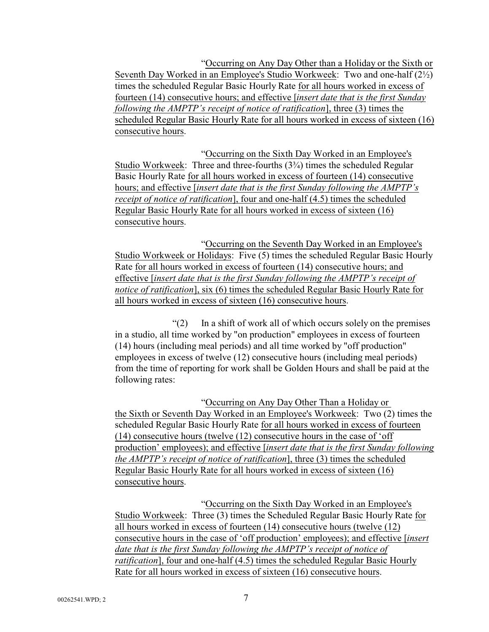"Occurring on Any Day Other than a Holiday or the Sixth or Seventh Day Worked in an Employee's Studio Workweek: Two and one-half (2½) times the scheduled Regular Basic Hourly Rate for all hours worked in excess of fourteen (14) consecutive hours; and effective [*insert date that is the first Sunday following the AMPTP's receipt of notice of ratification*], three (3) times the scheduled Regular Basic Hourly Rate for all hours worked in excess of sixteen (16) consecutive hours.

"Occurring on the Sixth Day Worked in an Employee's Studio Workweek: Three and three-fourths (3¾) times the scheduled Regular Basic Hourly Rate for all hours worked in excess of fourteen (14) consecutive hours; and effective [*insert date that is the first Sunday following the AMPTP's receipt of notice of ratification*], four and one-half (4.5) times the scheduled Regular Basic Hourly Rate for all hours worked in excess of sixteen (16) consecutive hours.

"Occurring on the Seventh Day Worked in an Employee's Studio Workweek or Holidays: Five (5) times the scheduled Regular Basic Hourly Rate for all hours worked in excess of fourteen (14) consecutive hours; and effective [*insert date that is the first Sunday following the AMPTP's receipt of notice of ratification*], six (6) times the scheduled Regular Basic Hourly Rate for all hours worked in excess of sixteen (16) consecutive hours.

"(2) In a shift of work all of which occurs solely on the premises in a studio, all time worked by "on production" employees in excess of fourteen (14) hours (including meal periods) and all time worked by "off production" employees in excess of twelve (12) consecutive hours (including meal periods) from the time of reporting for work shall be Golden Hours and shall be paid at the following rates:

"Occurring on Any Day Other Than a Holiday or the Sixth or Seventh Day Worked in an Employee's Workweek: Two (2) times the scheduled Regular Basic Hourly Rate for all hours worked in excess of fourteen (14) consecutive hours (twelve (12) consecutive hours in the case of 'off production' employees); and effective [*insert date that is the first Sunday following the AMPTP's receipt of notice of ratification*], three (3) times the scheduled Regular Basic Hourly Rate for all hours worked in excess of sixteen (16) consecutive hours.

"Occurring on the Sixth Day Worked in an Employee's Studio Workweek: Three (3) times the Scheduled Regular Basic Hourly Rate for all hours worked in excess of fourteen (14) consecutive hours (twelve (12) consecutive hours in the case of 'off production' employees); and effective [*insert date that is the first Sunday following the AMPTP's receipt of notice of ratification*], four and one-half (4.5) times the scheduled Regular Basic Hourly Rate for all hours worked in excess of sixteen (16) consecutive hours.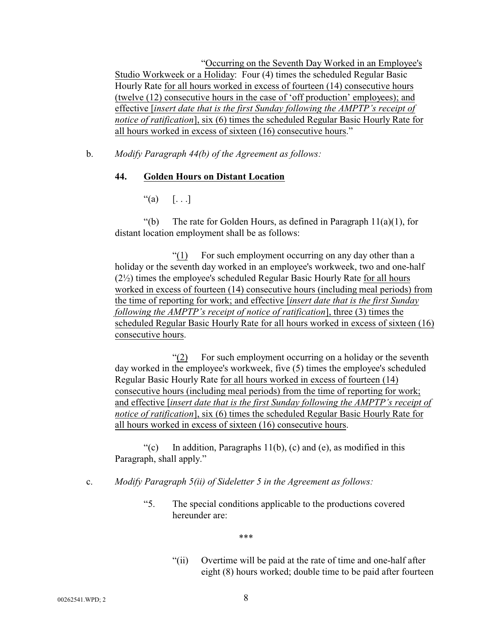"Occurring on the Seventh Day Worked in an Employee's Studio Workweek or a Holiday: Four (4) times the scheduled Regular Basic Hourly Rate for all hours worked in excess of fourteen (14) consecutive hours (twelve (12) consecutive hours in the case of 'off production' employees); and effective [*insert date that is the first Sunday following the AMPTP's receipt of notice of ratification*], six (6) times the scheduled Regular Basic Hourly Rate for all hours worked in excess of sixteen (16) consecutive hours."

b. *Modify Paragraph 44(b) of the Agreement as follows:*

# **44. Golden Hours on Distant Location**

"(a)  $[...]$ 

"(b) The rate for Golden Hours, as defined in Paragraph  $11(a)(1)$ , for distant location employment shall be as follows:

"(1) For such employment occurring on any day other than a holiday or the seventh day worked in an employee's workweek, two and one-half (2½) times the employee's scheduled Regular Basic Hourly Rate for all hours worked in excess of fourteen (14) consecutive hours (including meal periods) from the time of reporting for work; and effective [*insert date that is the first Sunday following the AMPTP's receipt of notice of ratification*], three (3) times the scheduled Regular Basic Hourly Rate for all hours worked in excess of sixteen (16) consecutive hours.

"(2) For such employment occurring on a holiday or the seventh day worked in the employee's workweek, five (5) times the employee's scheduled Regular Basic Hourly Rate for all hours worked in excess of fourteen (14) consecutive hours (including meal periods) from the time of reporting for work; and effective [*insert date that is the first Sunday following the AMPTP's receipt of notice of ratification*], six (6) times the scheduled Regular Basic Hourly Rate for all hours worked in excess of sixteen (16) consecutive hours.

"(c) In addition, Paragraphs  $11(b)$ , (c) and (e), as modified in this Paragraph, shall apply."

# c. *Modify Paragraph 5(ii) of Sideletter 5 in the Agreement as follows:*

"5. The special conditions applicable to the productions covered hereunder are:

\*\*\*

"(ii) Overtime will be paid at the rate of time and one-half after eight (8) hours worked; double time to be paid after fourteen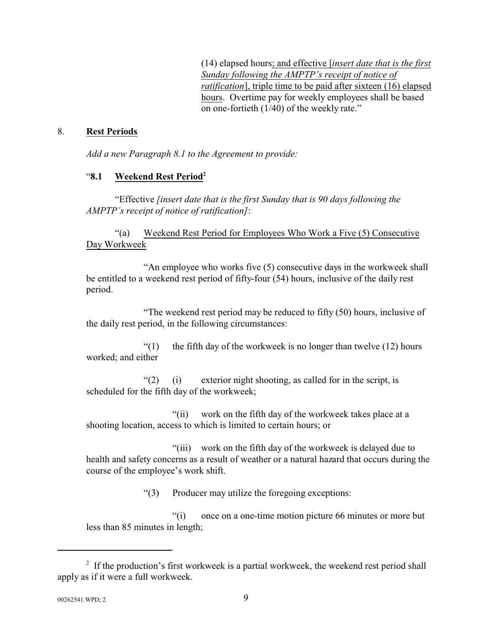(14) elapsed hours; and effective [*insert date that is the first Sunday following the AMPTP's receipt of notice of ratification*], triple time to be paid after sixteen (16) elapsed hours. Overtime pay for weekly employees shall be based on one-fortieth (1/40) of the weekly rate."

## 8. **Rest Periods**

*Add a new Paragraph 8.1 to the Agreement to provide:* 

# "**8.1 Weekend Rest Period<sup>2</sup>**

"Effective *[insert date that is the first Sunday that is 90 days following the AMPTP's receipt of notice of ratification]*:

"(a) Weekend Rest Period for Employees Who Work a Five (5) Consecutive Day Workweek

"An employee who works five (5) consecutive days in the workweek shall be entitled to a weekend rest period of fifty-four (54) hours, inclusive of the daily rest period.

"The weekend rest period may be reduced to fifty (50) hours, inclusive of the daily rest period, in the following circumstances:

" $(1)$  the fifth day of the workweek is no longer than twelve  $(12)$  hours worked; and either

"(2) (i) exterior night shooting, as called for in the script, is scheduled for the fifth day of the workweek;

"(ii) work on the fifth day of the workweek takes place at a shooting location, access to which is limited to certain hours; or

"(iii) work on the fifth day of the workweek is delayed due to health and safety concerns as a result of weather or a natural hazard that occurs during the course of the employee's work shift.

"(3) Producer may utilize the foregoing exceptions:

"(i) once on a one-time motion picture 66 minutes or more but less than 85 minutes in length;

<sup>&</sup>lt;sup>2</sup> If the production's first workweek is a partial workweek, the weekend rest period shall apply as if it were a full workweek.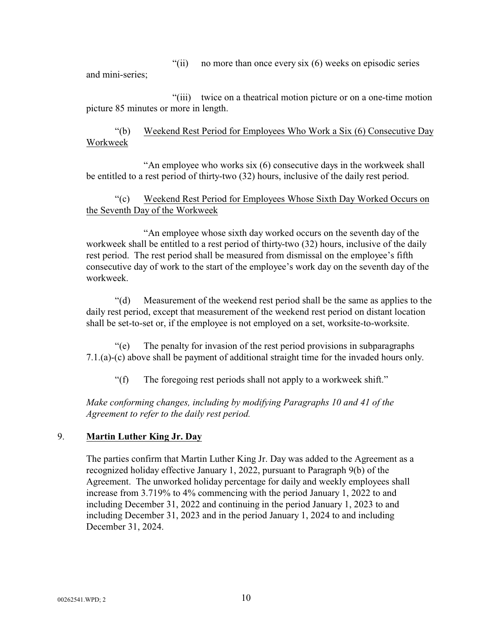"(ii) no more than once every six (6) weeks on episodic series

and mini-series;

"(iii) twice on a theatrical motion picture or on a one-time motion picture 85 minutes or more in length.

"(b) Weekend Rest Period for Employees Who Work a Six (6) Consecutive Day Workweek

"An employee who works six (6) consecutive days in the workweek shall be entitled to a rest period of thirty-two (32) hours, inclusive of the daily rest period.

"(c) Weekend Rest Period for Employees Whose Sixth Day Worked Occurs on the Seventh Day of the Workweek

"An employee whose sixth day worked occurs on the seventh day of the workweek shall be entitled to a rest period of thirty-two (32) hours, inclusive of the daily rest period. The rest period shall be measured from dismissal on the employee's fifth consecutive day of work to the start of the employee's work day on the seventh day of the workweek.

"(d) Measurement of the weekend rest period shall be the same as applies to the daily rest period, except that measurement of the weekend rest period on distant location shall be set-to-set or, if the employee is not employed on a set, worksite-to-worksite.

"(e) The penalty for invasion of the rest period provisions in subparagraphs 7.1.(a)-(c) above shall be payment of additional straight time for the invaded hours only.

"(f) The foregoing rest periods shall not apply to a workweek shift."

*Make conforming changes, including by modifying Paragraphs 10 and 41 of the Agreement to refer to the daily rest period.* 

# 9. **Martin Luther King Jr. Day**

The parties confirm that Martin Luther King Jr. Day was added to the Agreement as a recognized holiday effective January 1, 2022, pursuant to Paragraph 9(b) of the Agreement. The unworked holiday percentage for daily and weekly employees shall increase from 3.719% to 4% commencing with the period January 1, 2022 to and including December 31, 2022 and continuing in the period January 1, 2023 to and including December 31, 2023 and in the period January 1, 2024 to and including December 31, 2024.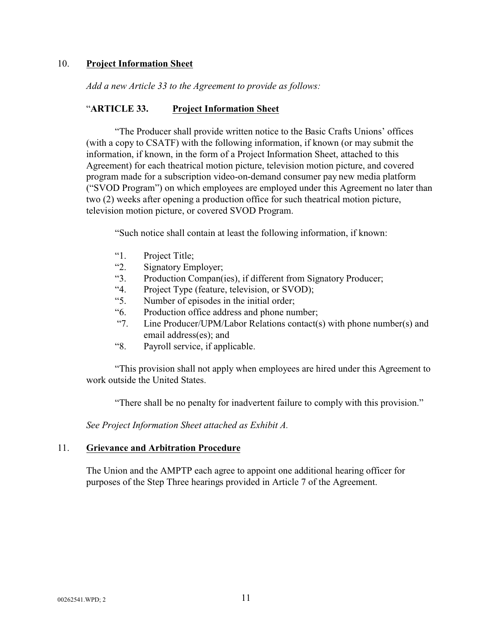## 10. **Project Information Sheet**

*Add a new Article 33 to the Agreement to provide as follows:*

## "**ARTICLE 33. Project Information Sheet**

"The Producer shall provide written notice to the Basic Crafts Unions' offices (with a copy to CSATF) with the following information, if known (or may submit the information, if known, in the form of a Project Information Sheet, attached to this Agreement) for each theatrical motion picture, television motion picture, and covered program made for a subscription video-on-demand consumer pay new media platform ("SVOD Program") on which employees are employed under this Agreement no later than two (2) weeks after opening a production office for such theatrical motion picture, television motion picture, or covered SVOD Program.

"Such notice shall contain at least the following information, if known:

- "1. Project Title;
- "2. Signatory Employer;<br>"3 Production Compan(
- Production Compan(ies), if different from Signatory Producer;
- "4. Project Type (feature, television, or SVOD);<br>"5. Number of episodes in the initial order:
- Number of episodes in the initial order;
- "6. Production office address and phone number;
- "7. Line Producer/UPM/Labor Relations contact(s) with phone number(s) and email address(es); and
- "8. Payroll service, if applicable.

"This provision shall not apply when employees are hired under this Agreement to work outside the United States.

"There shall be no penalty for inadvertent failure to comply with this provision."

*See Project Information Sheet attached as Exhibit A.*

#### 11. **Grievance and Arbitration Procedure**

The Union and the AMPTP each agree to appoint one additional hearing officer for purposes of the Step Three hearings provided in Article 7 of the Agreement.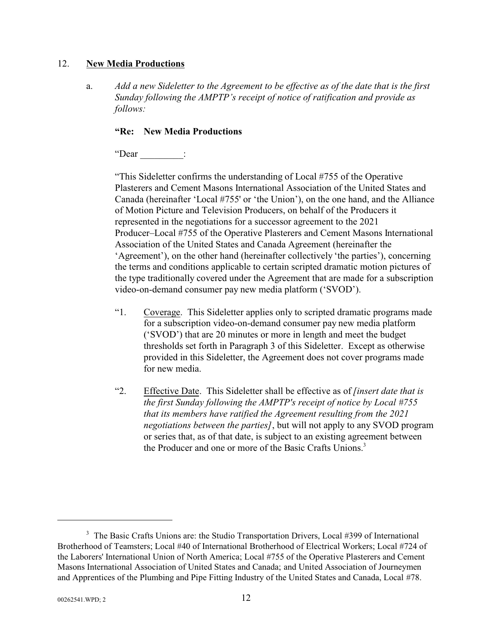## 12. **New Media Productions**

a. *Add a new Sideletter to the Agreement to be effective as of the date that is the first Sunday following the AMPTP's receipt of notice of ratification and provide as follows:*

# **"Re: New Media Productions**

"Dear \_\_\_\_\_\_\_\_\_:

"This Sideletter confirms the understanding of Local #755 of the Operative Plasterers and Cement Masons International Association of the United States and Canada (hereinafter 'Local #755' or 'the Union'), on the one hand, and the Alliance of Motion Picture and Television Producers, on behalf of the Producers it represented in the negotiations for a successor agreement to the 2021 Producer–Local #755 of the Operative Plasterers and Cement Masons International Association of the United States and Canada Agreement (hereinafter the 'Agreement'), on the other hand (hereinafter collectively 'the parties'), concerning the terms and conditions applicable to certain scripted dramatic motion pictures of the type traditionally covered under the Agreement that are made for a subscription video-on-demand consumer pay new media platform ('SVOD').

- "1. Coverage. This Sideletter applies only to scripted dramatic programs made for a subscription video-on-demand consumer pay new media platform ('SVOD') that are 20 minutes or more in length and meet the budget thresholds set forth in Paragraph 3 of this Sideletter. Except as otherwise provided in this Sideletter, the Agreement does not cover programs made for new media.
- "2. Effective Date. This Sideletter shall be effective as of *[insert date that is the first Sunday following the AMPTP's receipt of notice by Local #755 that its members have ratified the Agreement resulting from the 2021 negotiations between the parties]*, but will not apply to any SVOD program or series that, as of that date, is subject to an existing agreement between the Producer and one or more of the Basic Crafts Unions.<sup>3</sup>

<sup>&</sup>lt;sup>3</sup> The Basic Crafts Unions are: the Studio Transportation Drivers, Local #399 of International Brotherhood of Teamsters; Local #40 of International Brotherhood of Electrical Workers; Local #724 of the Laborers' International Union of North America; Local #755 of the Operative Plasterers and Cement Masons International Association of United States and Canada; and United Association of Journeymen and Apprentices of the Plumbing and Pipe Fitting Industry of the United States and Canada, Local #78.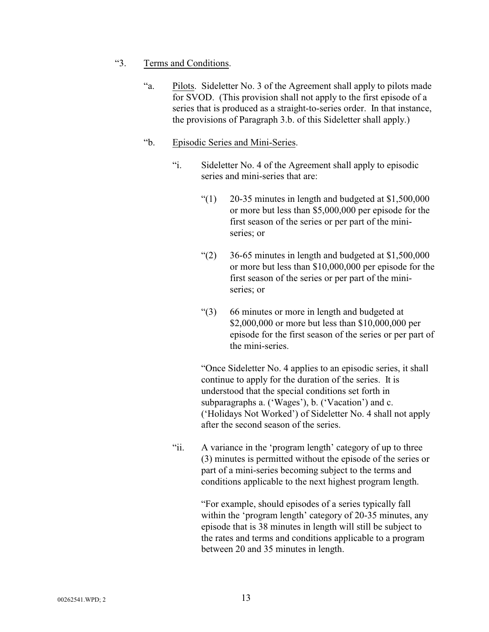- "3. Terms and Conditions.
	- "a. Pilots. Sideletter No. 3 of the Agreement shall apply to pilots made for SVOD. (This provision shall not apply to the first episode of a series that is produced as a straight-to-series order. In that instance, the provisions of Paragraph 3.b. of this Sideletter shall apply.)

# "b. Episodic Series and Mini-Series.

- "i. Sideletter No. 4 of the Agreement shall apply to episodic series and mini-series that are:
	- " $(1)$  20-35 minutes in length and budgeted at \$1,500,000 or more but less than \$5,000,000 per episode for the first season of the series or per part of the miniseries; or
	- $\degree$ (2) 36-65 minutes in length and budgeted at \$1,500,000 or more but less than \$10,000,000 per episode for the first season of the series or per part of the miniseries; or
	- "(3) 66 minutes or more in length and budgeted at \$2,000,000 or more but less than \$10,000,000 per episode for the first season of the series or per part of the mini-series.

"Once Sideletter No. 4 applies to an episodic series, it shall continue to apply for the duration of the series. It is understood that the special conditions set forth in subparagraphs a. ('Wages'), b. ('Vacation') and c. ('Holidays Not Worked') of Sideletter No. 4 shall not apply after the second season of the series.

"ii. A variance in the 'program length' category of up to three (3) minutes is permitted without the episode of the series or part of a mini-series becoming subject to the terms and conditions applicable to the next highest program length.

> "For example, should episodes of a series typically fall within the 'program length' category of 20-35 minutes, any episode that is 38 minutes in length will still be subject to the rates and terms and conditions applicable to a program between 20 and 35 minutes in length.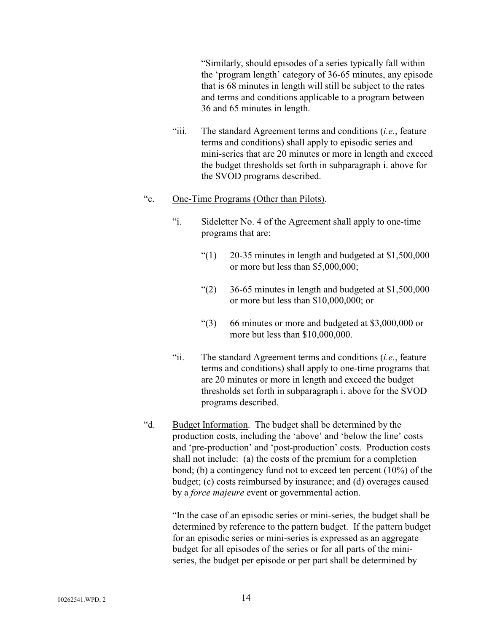"Similarly, should episodes of a series typically fall within the 'program length' category of 36-65 minutes, any episode that is 68 minutes in length will still be subject to the rates and terms and conditions applicable to a program between 36 and 65 minutes in length.

"iii. The standard Agreement terms and conditions (*i.e.*, feature terms and conditions) shall apply to episodic series and mini-series that are 20 minutes or more in length and exceed the budget thresholds set forth in subparagraph i. above for the SVOD programs described.

# "c. One-Time Programs (Other than Pilots).

- "i. Sideletter No. 4 of the Agreement shall apply to one-time programs that are:
	- " $(1)$  20-35 minutes in length and budgeted at \$1,500,000 or more but less than \$5,000,000;
	- "(2) 36-65 minutes in length and budgeted at \$1,500,000 or more but less than \$10,000,000; or
	- "(3) 66 minutes or more and budgeted at \$3,000,000 or more but less than \$10,000,000.
- "ii. The standard Agreement terms and conditions (*i.e.*, feature terms and conditions) shall apply to one-time programs that are 20 minutes or more in length and exceed the budget thresholds set forth in subparagraph i. above for the SVOD programs described.
- "d. Budget Information. The budget shall be determined by the production costs, including the 'above' and 'below the line' costs and 'pre-production' and 'post-production' costs. Production costs shall not include: (a) the costs of the premium for a completion bond; (b) a contingency fund not to exceed ten percent (10%) of the budget; (c) costs reimbursed by insurance; and (d) overages caused by a *force majeure* event or governmental action.

"In the case of an episodic series or mini-series, the budget shall be determined by reference to the pattern budget. If the pattern budget for an episodic series or mini-series is expressed as an aggregate budget for all episodes of the series or for all parts of the miniseries, the budget per episode or per part shall be determined by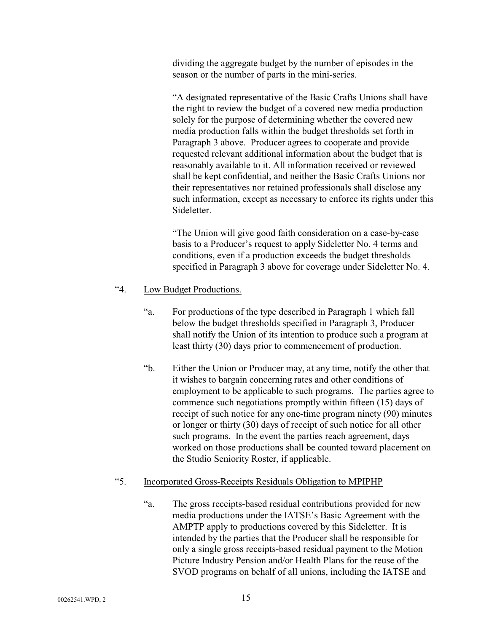dividing the aggregate budget by the number of episodes in the season or the number of parts in the mini-series.

"A designated representative of the Basic Crafts Unions shall have the right to review the budget of a covered new media production solely for the purpose of determining whether the covered new media production falls within the budget thresholds set forth in Paragraph 3 above. Producer agrees to cooperate and provide requested relevant additional information about the budget that is reasonably available to it. All information received or reviewed shall be kept confidential, and neither the Basic Crafts Unions nor their representatives nor retained professionals shall disclose any such information, except as necessary to enforce its rights under this Sideletter.

"The Union will give good faith consideration on a case-by-case basis to a Producer's request to apply Sideletter No. 4 terms and conditions, even if a production exceeds the budget thresholds specified in Paragraph 3 above for coverage under Sideletter No. 4.

# "4. Low Budget Productions.

- "a. For productions of the type described in Paragraph 1 which fall below the budget thresholds specified in Paragraph 3, Producer shall notify the Union of its intention to produce such a program at least thirty (30) days prior to commencement of production.
- "b. Either the Union or Producer may, at any time, notify the other that it wishes to bargain concerning rates and other conditions of employment to be applicable to such programs. The parties agree to commence such negotiations promptly within fifteen (15) days of receipt of such notice for any one-time program ninety (90) minutes or longer or thirty (30) days of receipt of such notice for all other such programs. In the event the parties reach agreement, days worked on those productions shall be counted toward placement on the Studio Seniority Roster, if applicable.

#### "5. Incorporated Gross-Receipts Residuals Obligation to MPIPHP

"a. The gross receipts-based residual contributions provided for new media productions under the IATSE's Basic Agreement with the AMPTP apply to productions covered by this Sideletter. It is intended by the parties that the Producer shall be responsible for only a single gross receipts-based residual payment to the Motion Picture Industry Pension and/or Health Plans for the reuse of the SVOD programs on behalf of all unions, including the IATSE and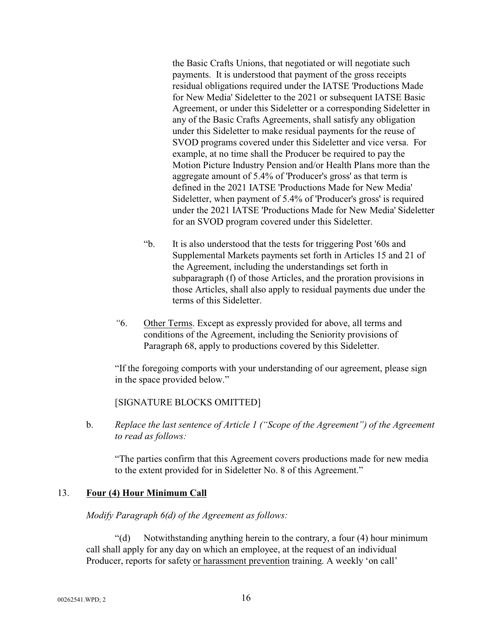the Basic Crafts Unions, that negotiated or will negotiate such payments. It is understood that payment of the gross receipts residual obligations required under the IATSE 'Productions Made for New Media' Sideletter to the 2021 or subsequent IATSE Basic Agreement, or under this Sideletter or a corresponding Sideletter in any of the Basic Crafts Agreements, shall satisfy any obligation under this Sideletter to make residual payments for the reuse of SVOD programs covered under this Sideletter and vice versa. For example, at no time shall the Producer be required to pay the Motion Picture Industry Pension and/or Health Plans more than the aggregate amount of 5.4% of 'Producer's gross' as that term is defined in the 2021 IATSE 'Productions Made for New Media' Sideletter, when payment of 5.4% of 'Producer's gross' is required under the 2021 IATSE 'Productions Made for New Media' Sideletter for an SVOD program covered under this Sideletter.

- "b. It is also understood that the tests for triggering Post '60s and Supplemental Markets payments set forth in Articles 15 and 21 of the Agreement, including the understandings set forth in subparagraph (f) of those Articles, and the proration provisions in those Articles, shall also apply to residual payments due under the terms of this Sideletter.
- *"*6. Other Terms. Except as expressly provided for above, all terms and conditions of the Agreement, including the Seniority provisions of Paragraph 68, apply to productions covered by this Sideletter.

"If the foregoing comports with your understanding of our agreement, please sign in the space provided below."

[SIGNATURE BLOCKS OMITTED]

b. *Replace the last sentence of Article 1 ("Scope of the Agreement") of the Agreement to read as follows:* 

"The parties confirm that this Agreement covers productions made for new media to the extent provided for in Sideletter No. 8 of this Agreement."

# 13. **Four (4) Hour Minimum Call**

# *Modify Paragraph 6(d) of the Agreement as follows:*

"(d) Notwithstanding anything herein to the contrary, a four (4) hour minimum call shall apply for any day on which an employee, at the request of an individual Producer, reports for safety or harassment prevention training. A weekly 'on call'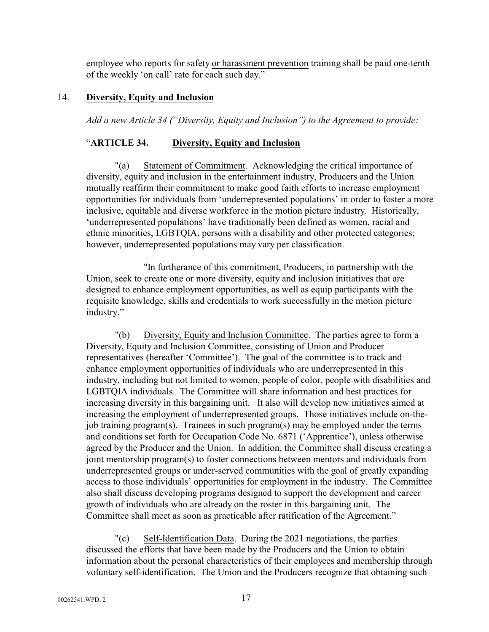employee who reports for safety or harassment prevention training shall be paid one-tenth of the weekly 'on call' rate for each such day."

# 14. **Diversity, Equity and Inclusion**

*Add a new Article 34 ("Diversity, Equity and Inclusion") to the Agreement to provide:* 

# "**ARTICLE 34. Diversity, Equity and Inclusion**

"(a) Statement of Commitment. Acknowledging the critical importance of diversity, equity and inclusion in the entertainment industry, Producers and the Union mutually reaffirm their commitment to make good faith efforts to increase employment opportunities for individuals from 'underrepresented populations' in order to foster a more inclusive, equitable and diverse workforce in the motion picture industry. Historically, 'underrepresented populations' have traditionally been defined as women, racial and ethnic minorities, LGBTQIA, persons with a disability and other protected categories; however, underrepresented populations may vary per classification.

"In furtherance of this commitment, Producers, in partnership with the Union, seek to create one or more diversity, equity and inclusion initiatives that are designed to enhance employment opportunities, as well as equip participants with the requisite knowledge, skills and credentials to work successfully in the motion picture industry."

"(b) Diversity, Equity and Inclusion Committee. The parties agree to form a Diversity, Equity and Inclusion Committee, consisting of Union and Producer representatives (hereafter 'Committee'). The goal of the committee is to track and enhance employment opportunities of individuals who are underrepresented in this industry, including but not limited to women, people of color, people with disabilities and LGBTQIA individuals. The Committee will share information and best practices for increasing diversity in this bargaining unit. It also will develop new initiatives aimed at increasing the employment of underrepresented groups. Those initiatives include on-thejob training program(s). Trainees in such program(s) may be employed under the terms and conditions set forth for Occupation Code No. 6871 ('Apprentice'), unless otherwise agreed by the Producer and the Union. In addition, the Committee shall discuss creating a joint mentorship program(s) to foster connections between mentors and individuals from underrepresented groups or under-served communities with the goal of greatly expanding access to those individuals' opportunities for employment in the industry. The Committee also shall discuss developing programs designed to support the development and career growth of individuals who are already on the roster in this bargaining unit. The Committee shall meet as soon as practicable after ratification of the Agreement."

"(c) Self-Identification Data. During the 2021 negotiations, the parties discussed the efforts that have been made by the Producers and the Union to obtain information about the personal characteristics of their employees and membership through voluntary self-identification. The Union and the Producers recognize that obtaining such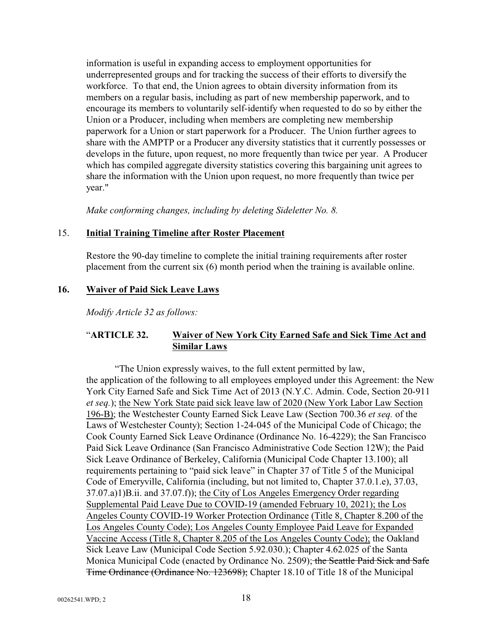information is useful in expanding access to employment opportunities for underrepresented groups and for tracking the success of their efforts to diversify the workforce. To that end, the Union agrees to obtain diversity information from its members on a regular basis, including as part of new membership paperwork, and to encourage its members to voluntarily self-identify when requested to do so by either the Union or a Producer, including when members are completing new membership paperwork for a Union or start paperwork for a Producer. The Union further agrees to share with the AMPTP or a Producer any diversity statistics that it currently possesses or develops in the future, upon request, no more frequently than twice per year. A Producer which has compiled aggregate diversity statistics covering this bargaining unit agrees to share the information with the Union upon request, no more frequently than twice per year."

*Make conforming changes, including by deleting Sideletter No. 8.*

# 15. **Initial Training Timeline after Roster Placement**

Restore the 90-day timeline to complete the initial training requirements after roster placement from the current six (6) month period when the training is available online.

# **16. Waiver of Paid Sick Leave Laws**

*Modify Article 32 as follows:*

# "**ARTICLE 32. Waiver of New York City Earned Safe and Sick Time Act and Similar Laws**

"The Union expressly waives, to the full extent permitted by law, the application of the following to all employees employed under this Agreement: the New York City Earned Safe and Sick Time Act of 2013 (N.Y.C. Admin. Code, Section 20-911 *et seq.*); the New York State paid sick leave law of 2020 (New York Labor Law Section 196-B); the Westchester County Earned Sick Leave Law (Section 700.36 *et seq.* of the Laws of Westchester County); Section 1-24-045 of the Municipal Code of Chicago; the Cook County Earned Sick Leave Ordinance (Ordinance No. 16-4229); the San Francisco Paid Sick Leave Ordinance (San Francisco Administrative Code Section 12W); the Paid Sick Leave Ordinance of Berkeley, California (Municipal Code Chapter 13.100); all requirements pertaining to "paid sick leave" in Chapter 37 of Title 5 of the Municipal Code of Emeryville, California (including, but not limited to, Chapter 37.0.1.e), 37.03, 37.07.a)1)B.ii. and 37.07.f)); the City of Los Angeles Emergency Order regarding Supplemental Paid Leave Due to COVID-19 (amended February 10, 2021); the Los Angeles County COVID-19 Worker Protection Ordinance (Title 8, Chapter 8.200 of the Los Angeles County Code); Los Angeles County Employee Paid Leave for Expanded Vaccine Access (Title 8, Chapter 8.205 of the Los Angeles County Code); the Oakland Sick Leave Law (Municipal Code Section 5.92.030.); Chapter 4.62.025 of the Santa Monica Municipal Code (enacted by Ordinance No. 2509); the Seattle Paid Sick and Safe Time Ordinance (Ordinance No. 123698); Chapter 18.10 of Title 18 of the Municipal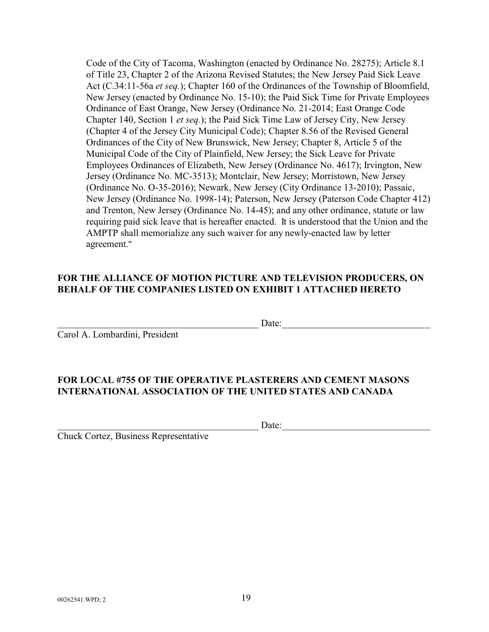Code of the City of Tacoma, Washington (enacted by Ordinance No. 28275); Article 8.1 of Title 23, Chapter 2 of the Arizona Revised Statutes; the New Jersey Paid Sick Leave Act (C.34:11-56a *et seq.*); Chapter 160 of the Ordinances of the Township of Bloomfield, New Jersey (enacted by Ordinance No. 15-10); the Paid Sick Time for Private Employees Ordinance of East Orange, New Jersey (Ordinance No. 21-2014; East Orange Code Chapter 140, Section 1 *et seq.*); the Paid Sick Time Law of Jersey City, New Jersey (Chapter 4 of the Jersey City Municipal Code); Chapter 8.56 of the Revised General Ordinances of the City of New Brunswick, New Jersey; Chapter 8, Article 5 of the Municipal Code of the City of Plainfield, New Jersey; the Sick Leave for Private Employees Ordinances of Elizabeth, New Jersey (Ordinance No. 4617); Irvington, New Jersey (Ordinance No. MC-3513); Montclair, New Jersey; Morristown, New Jersey (Ordinance No. O-35-2016); Newark, New Jersey (City Ordinance 13-2010); Passaic, New Jersey (Ordinance No. 1998-14); Paterson, New Jersey (Paterson Code Chapter 412) and Trenton, New Jersey (Ordinance No. 14-45); and any other ordinance, statute or law requiring paid sick leave that is hereafter enacted. It is understood that the Union and the AMPTP shall memorialize any such waiver for any newly-enacted law by letter agreement."

# **FOR THE ALLIANCE OF MOTION PICTURE AND TELEVISION PRODUCERS, ON BEHALF OF THE COMPANIES LISTED ON EXHIBIT 1 ATTACHED HERETO**

Carol A. Lombardini, President

 $Date:$ 

# **FOR LOCAL #755 OF THE OPERATIVE PLASTERERS AND CEMENT MASONS**

# **INTERNATIONAL ASSOCIATION OF THE UNITED STATES AND CANADA**

Chuck Cortez, Business Representative

\_\_\_\_\_\_\_\_\_\_\_\_\_\_\_\_\_\_\_\_\_\_\_\_\_\_\_\_\_\_\_\_\_\_\_\_\_\_\_\_\_\_ Date:\_\_\_\_\_\_\_\_\_\_\_\_\_\_\_\_\_\_\_\_\_\_\_\_\_\_\_\_\_\_\_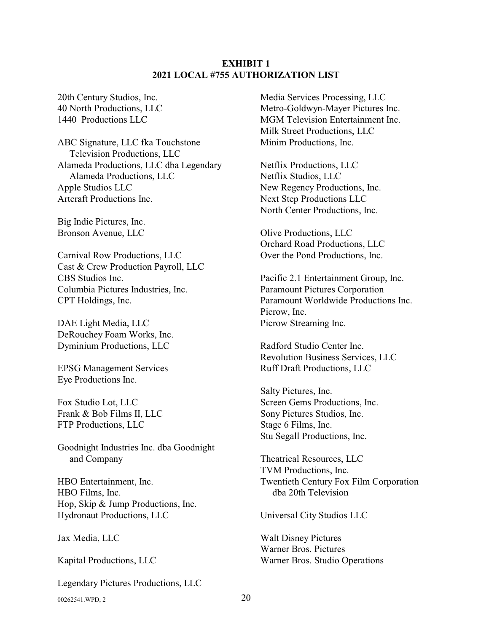## **EXHIBIT 1 2021 LOCAL #755 AUTHORIZATION LIST**

20th Century Studios, Inc. 40 North Productions, LLC 1440 Productions LLC

ABC Signature, LLC fka Touchstone Television Productions, LLC Alameda Productions, LLC dba Legendary Alameda Productions, LLC Apple Studios LLC Artcraft Productions Inc.

Big Indie Pictures, Inc. Bronson Avenue, LLC

Carnival Row Productions, LLC Cast & Crew Production Payroll, LLC CBS Studios Inc. Columbia Pictures Industries, Inc. CPT Holdings, Inc.

DAE Light Media, LLC DeRouchey Foam Works, Inc. Dyminium Productions, LLC

EPSG Management Services Eye Productions Inc.

Fox Studio Lot, LLC Frank & Bob Films II, LLC FTP Productions, LLC

Goodnight Industries Inc. dba Goodnight and Company

HBO Entertainment, Inc. HBO Films, Inc. Hop, Skip & Jump Productions, Inc. Hydronaut Productions, LLC

Jax Media, LLC

Kapital Productions, LLC

Legendary Pictures Productions, LLC 00262541.WPD: 2 20 Media Services Processing, LLC Metro-Goldwyn-Mayer Pictures Inc. MGM Television Entertainment Inc. Milk Street Productions, LLC Minim Productions, Inc.

Netflix Productions, LLC Netflix Studios, LLC New Regency Productions, Inc. Next Step Productions LLC North Center Productions, Inc.

Olive Productions, LLC Orchard Road Productions, LLC Over the Pond Productions, Inc.

Pacific 2.1 Entertainment Group, Inc. Paramount Pictures Corporation Paramount Worldwide Productions Inc. Picrow, Inc. Picrow Streaming Inc.

Radford Studio Center Inc. Revolution Business Services, LLC Ruff Draft Productions, LLC

Salty Pictures, Inc. Screen Gems Productions, Inc. Sony Pictures Studios, Inc. Stage 6 Films, Inc. Stu Segall Productions, Inc.

Theatrical Resources, LLC TVM Productions, Inc. Twentieth Century Fox Film Corporation dba 20th Television

Universal City Studios LLC

Walt Disney Pictures Warner Bros. Pictures Warner Bros. Studio Operations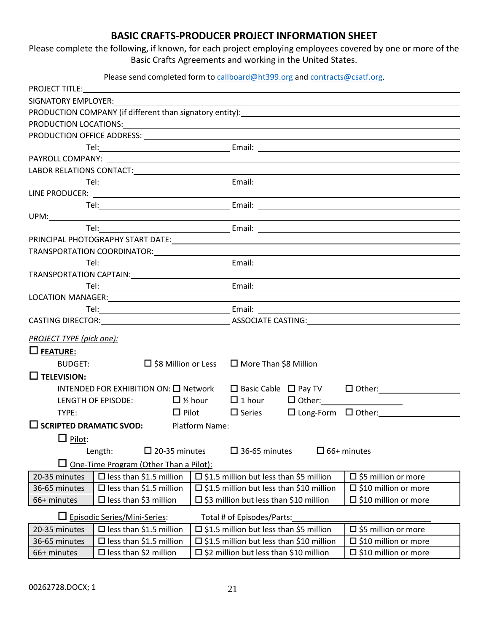# **BASIC CRAFTS-PRODUCER PROJECT INFORMATION SHEET**

Please complete the following, if known, for each project employing employees covered by one or more of the Basic Crafts Agreements and working in the United States.

Please send completed form to callboard@ht399.org and contracts@csatf.org.

| PROJECT TITLE:                                                                                                                                                                                                                 |                                     |                                                    |                                                   |                                                         |                                |                                                                                                                                                                                                                                |  |
|--------------------------------------------------------------------------------------------------------------------------------------------------------------------------------------------------------------------------------|-------------------------------------|----------------------------------------------------|---------------------------------------------------|---------------------------------------------------------|--------------------------------|--------------------------------------------------------------------------------------------------------------------------------------------------------------------------------------------------------------------------------|--|
|                                                                                                                                                                                                                                |                                     |                                                    |                                                   |                                                         |                                |                                                                                                                                                                                                                                |  |
|                                                                                                                                                                                                                                |                                     |                                                    |                                                   |                                                         |                                |                                                                                                                                                                                                                                |  |
| PRODUCTION LOCATIONS: VALUE AND A CONTROL CONTROL CONTROL CONTROL CONTROL CONTROL CONTROL CONTROL CONTROL CONTROL CONTROL CONTROL CONTROL CONTROL CONTROL CONTROL CONTROL CONTROL CONTROL CONTROL CONTROL CONTROL CONTROL CONT |                                     |                                                    |                                                   |                                                         |                                |                                                                                                                                                                                                                                |  |
|                                                                                                                                                                                                                                |                                     |                                                    |                                                   |                                                         |                                |                                                                                                                                                                                                                                |  |
|                                                                                                                                                                                                                                |                                     |                                                    |                                                   |                                                         |                                |                                                                                                                                                                                                                                |  |
|                                                                                                                                                                                                                                |                                     |                                                    |                                                   |                                                         |                                |                                                                                                                                                                                                                                |  |
|                                                                                                                                                                                                                                |                                     |                                                    |                                                   |                                                         |                                |                                                                                                                                                                                                                                |  |
|                                                                                                                                                                                                                                |                                     |                                                    |                                                   |                                                         |                                |                                                                                                                                                                                                                                |  |
|                                                                                                                                                                                                                                |                                     |                                                    |                                                   |                                                         |                                | LINE PRODUCER: New York Contract the Contract of the Contract of The Contract of The Contract of The Contract of The Contract of The Contract of The Contract of The Contract of The Contract of The Contract of The Contract  |  |
|                                                                                                                                                                                                                                |                                     |                                                    |                                                   |                                                         |                                |                                                                                                                                                                                                                                |  |
|                                                                                                                                                                                                                                |                                     |                                                    |                                                   |                                                         |                                |                                                                                                                                                                                                                                |  |
|                                                                                                                                                                                                                                |                                     |                                                    |                                                   |                                                         |                                |                                                                                                                                                                                                                                |  |
|                                                                                                                                                                                                                                |                                     |                                                    |                                                   |                                                         |                                |                                                                                                                                                                                                                                |  |
|                                                                                                                                                                                                                                |                                     |                                                    |                                                   |                                                         |                                |                                                                                                                                                                                                                                |  |
|                                                                                                                                                                                                                                |                                     |                                                    |                                                   |                                                         |                                |                                                                                                                                                                                                                                |  |
|                                                                                                                                                                                                                                |                                     |                                                    |                                                   |                                                         |                                |                                                                                                                                                                                                                                |  |
|                                                                                                                                                                                                                                |                                     |                                                    |                                                   |                                                         |                                |                                                                                                                                                                                                                                |  |
|                                                                                                                                                                                                                                |                                     |                                                    |                                                   |                                                         |                                | LOCATION MANAGER: University of the contract of the contract of the contract of the contract of the contract of the contract of the contract of the contract of the contract of the contract of the contract of the contract o |  |
|                                                                                                                                                                                                                                |                                     |                                                    |                                                   |                                                         |                                |                                                                                                                                                                                                                                |  |
|                                                                                                                                                                                                                                |                                     |                                                    |                                                   |                                                         |                                |                                                                                                                                                                                                                                |  |
| <b>PROJECT TYPE (pick one):</b>                                                                                                                                                                                                |                                     |                                                    |                                                   |                                                         |                                |                                                                                                                                                                                                                                |  |
| $\Box$ FEATURE:                                                                                                                                                                                                                |                                     |                                                    |                                                   |                                                         |                                |                                                                                                                                                                                                                                |  |
| <b>BUDGET:</b>                                                                                                                                                                                                                 |                                     |                                                    |                                                   | $\Box$ \$8 Million or Less $\Box$ More Than \$8 Million |                                |                                                                                                                                                                                                                                |  |
| $\Box$ TELEVISION:                                                                                                                                                                                                             |                                     |                                                    |                                                   |                                                         |                                |                                                                                                                                                                                                                                |  |
|                                                                                                                                                                                                                                |                                     |                                                    |                                                   |                                                         |                                | INTENDED FOR EXHIBITION ON: $\square$ Network $\square$ Basic Cable $\square$ Pay TV $\square$ Other:                                                                                                                          |  |
|                                                                                                                                                                                                                                | LENGTH OF EPISODE:                  |                                                    |                                                   |                                                         |                                |                                                                                                                                                                                                                                |  |
| TYPF:                                                                                                                                                                                                                          |                                     |                                                    |                                                   |                                                         |                                | $\square$ Pilot $\square$ Series $\square$ Long-Form $\square$ Other:                                                                                                                                                          |  |
| $\square$ SCRIPTED DRAMATIC SVOD:                                                                                                                                                                                              |                                     |                                                    |                                                   |                                                         |                                |                                                                                                                                                                                                                                |  |
|                                                                                                                                                                                                                                |                                     |                                                    |                                                   |                                                         | Platform Name: 1988            |                                                                                                                                                                                                                                |  |
| $\Box$ Pilot:                                                                                                                                                                                                                  |                                     |                                                    |                                                   |                                                         |                                |                                                                                                                                                                                                                                |  |
| $\square$ 20-35 minutes<br>Length:                                                                                                                                                                                             |                                     |                                                    |                                                   | $\square$ 36-65 minutes                                 |                                | $\Box$ 66+ minutes                                                                                                                                                                                                             |  |
|                                                                                                                                                                                                                                |                                     | One-Time Program (Other Than a Pilot):             |                                                   |                                                         |                                |                                                                                                                                                                                                                                |  |
| 20-35 minutes                                                                                                                                                                                                                  | $\square$ less than \$1.5 million   |                                                    |                                                   | $\square$ \$1.5 million but less than \$5 million       |                                | $\square$ \$5 million or more                                                                                                                                                                                                  |  |
| 36-65 minutes                                                                                                                                                                                                                  | $\square$ less than \$1.5 million   |                                                    |                                                   | $\square$ \$1.5 million but less than \$10 million      |                                | $\square$ \$10 million or more                                                                                                                                                                                                 |  |
| 66+ minutes                                                                                                                                                                                                                    | $\square$ less than \$3 million     |                                                    |                                                   | $\square$ \$3 million but less than \$10 million        |                                | $\square$ \$10 million or more                                                                                                                                                                                                 |  |
|                                                                                                                                                                                                                                | $\Box$ Episodic Series/Mini-Series: |                                                    |                                                   | Total # of Episodes/Parts:                              |                                |                                                                                                                                                                                                                                |  |
| $\square$ less than \$1.5 million<br>20-35 minutes                                                                                                                                                                             |                                     |                                                    | $\square$ \$1.5 million but less than \$5 million |                                                         |                                | $\square$ \$5 million or more                                                                                                                                                                                                  |  |
| 36-65 minutes<br>$\Box$ less than \$1.5 million                                                                                                                                                                                |                                     | $\square$ \$1.5 million but less than \$10 million |                                                   |                                                         | $\square$ \$10 million or more |                                                                                                                                                                                                                                |  |
| $\square$ less than \$2 million<br>66+ minutes                                                                                                                                                                                 |                                     | $\square$ \$2 million but less than \$10 million   |                                                   |                                                         | $\square$ \$10 million or more |                                                                                                                                                                                                                                |  |